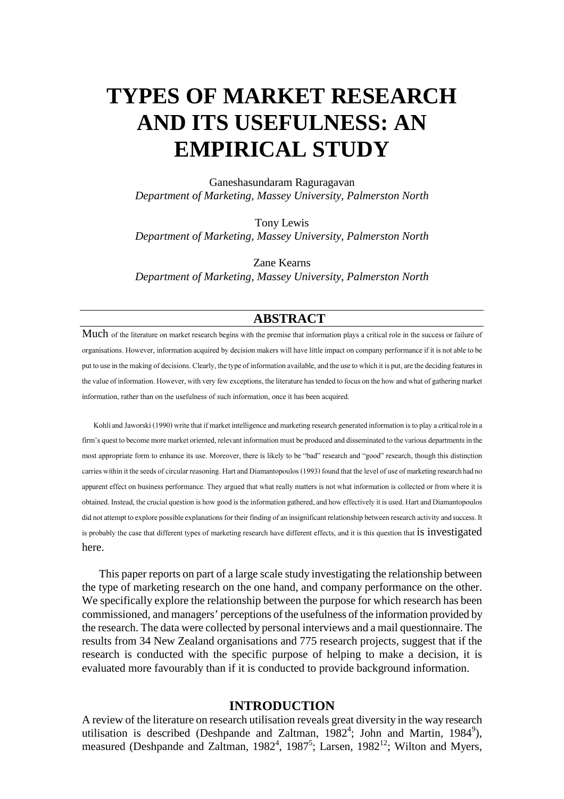# **TYPES OF MARKET RESEARCH AND ITS USEFULNESS: AN EMPIRICAL STUDY**

Ganeshasundaram Raguragavan *Department of Marketing, Massey University, Palmerston North*

Tony Lewis *Department of Marketing, Massey University, Palmerston North*

Zane Kearns *Department of Marketing, Massey University, Palmerston North*

## **ABSTRACT**

Much of the literature on market research begins with the premise that information plays a critical role in the success or failure of organisations. However, information acquired by decision makers will have little impact on company performance if it is not able to be put to use in the making of decisions. Clearly, the type of information available, and the use to which it is put, are the deciding features in the value of information. However, with very few exceptions, the literature has tended to focus on the how and what of gathering market information, rather than on the usefulness of such information, once it has been acquired.

Kohli and Jaworski (1990) write that if market intelligence and marketing research generated information is to play a critical role in a firm's quest to become more market oriented, relevant information must be produced and disseminated to the various departments in the most appropriate form to enhance its use. Moreover, there is likely to be "bad" research and "good" research, though this distinction carries within it the seeds of circular reasoning. Hart and Diamantopoulos (1993) found that the level of use of marketing research had no apparent effect on business performance. They argued that what really matters is not what information is collected or from where it is obtained. Instead, the crucial question is how good is the information gathered, and how effectively it is used. Hart and Diamantopoulos did not attempt to explore possible explanations for their finding of an insignificant relationship between research activity and success. It is probably the case that different types of marketing research have different effects, and it is this question that **IS INVESTIGATED** here.

This paper reports on part of a large scale study investigating the relationship between the type of marketing research on the one hand, and company performance on the other. We specifically explore the relationship between the purpose for which research has been commissioned, and managers' perceptions of the usefulness of the information provided by the research. The data were collected by personal interviews and a mail questionnaire. The results from 34 New Zealand organisations and 775 research projects, suggest that if the research is conducted with the specific purpose of helping to make a decision, it is evaluated more favourably than if it is conducted to provide background information.

## **INTRODUCTION**

A review of the literature on research utilisation reveals great diversity in the way research utilisation is described (Deshpande and Zaltman, 1982<sup>4</sup>; John and Martin, 1984<sup>9</sup>), measured (Deshpande and Zaltman,  $1982^4$ ,  $1987^5$ ; Larsen,  $1982^{12}$ ; Wilton and Myers,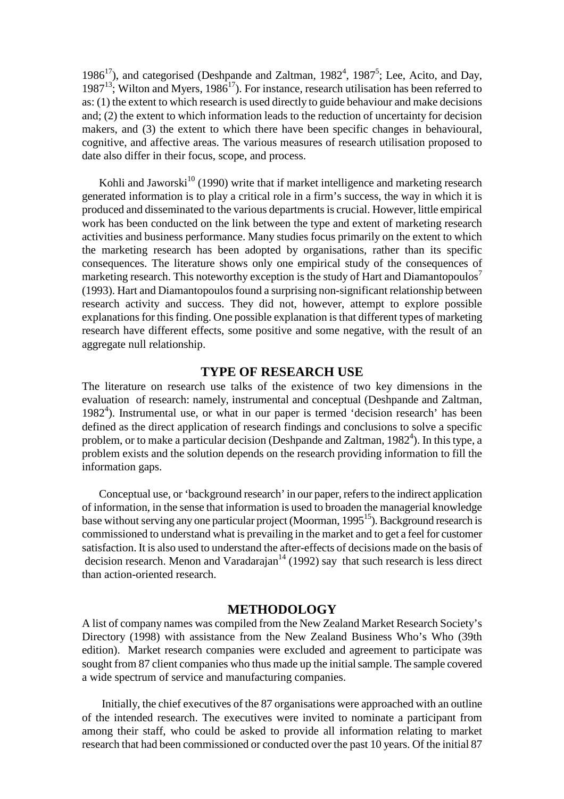1986<sup>17</sup>), and categorised (Deshpande and Zaltman, 1982<sup>4</sup>, 1987<sup>5</sup>; Lee, Acito, and Day, 1987 $<sup>13</sup>$ ; Wilton and Myers, 1986 $<sup>17</sup>$ ). For instance, research utilisation has been referred to</sup></sup> as: (1) the extent to which research is used directly to guide behaviour and make decisions and; (2) the extent to which information leads to the reduction of uncertainty for decision makers, and (3) the extent to which there have been specific changes in behavioural, cognitive, and affective areas. The various measures of research utilisation proposed to date also differ in their focus, scope, and process.

Kohli and Jaworski<sup>10</sup> (1990) write that if market intelligence and marketing research generated information is to play a critical role in a firm's success, the way in which it is produced and disseminated to the various departmentsis crucial. However, little empirical work has been conducted on the link between the type and extent of marketing research activities and business performance. Many studies focus primarily on the extent to which the marketing research has been adopted by organisations, rather than its specific consequences. The literature shows only one empirical study of the consequences of marketing research. This noteworthy exception is the study of Hart and Diamantopoulos<sup>7</sup> (1993). Hart and Diamantopoulosfound a surprising non-significant relationship between research activity and success. They did not, however, attempt to explore possible explanations for this finding. One possible explanation is that different types of marketing research have different effects, some positive and some negative, with the result of an aggregate null relationship.

# **TYPE OF RESEARCH USE**

The literature on research use talks of the existence of two key dimensions in the evaluation of research: namely, instrumental and conceptual (Deshpande and Zaltman, 1982 4 ). Instrumental use, or what in our paper is termed 'decision research' has been defined as the direct application of research findings and conclusions to solve a specific problem, or to make a particular decision (Deshpande and Zaltman, 1982<sup>4</sup>). In this type, a problem exists and the solution depends on the research providing information to fill the information gaps.

Conceptual use, or 'background research' in our paper, refersto the indirect application of information, in the sense that information is used to broaden the managerial knowledge base without serving any one particular project (Moorman, 1995<sup>15</sup>). Background research is commissioned to understand what is prevailing in the market and to get a feel for customer satisfaction. It is also used to understand the after-effects of decisions made on the basis of decision research. Menon and Varadarajan<sup>14</sup> (1992) say that such research is less direct than action-oriented research.

#### **METHODOLOGY**

A list of company names was compiled from the New Zealand Market Research Society's Directory (1998) with assistance from the New Zealand Business Who's Who (39th edition). Market research companies were excluded and agreement to participate was sought from 87 client companies who thus made up the initial sample. The sample covered a wide spectrum of service and manufacturing companies.

Initially, the chief executives of the 87 organisations were approached with an outline of the intended research. The executives were invited to nominate a participant from among their staff, who could be asked to provide all information relating to market research that had been commissioned or conducted over the past 10 years. Of the initial 87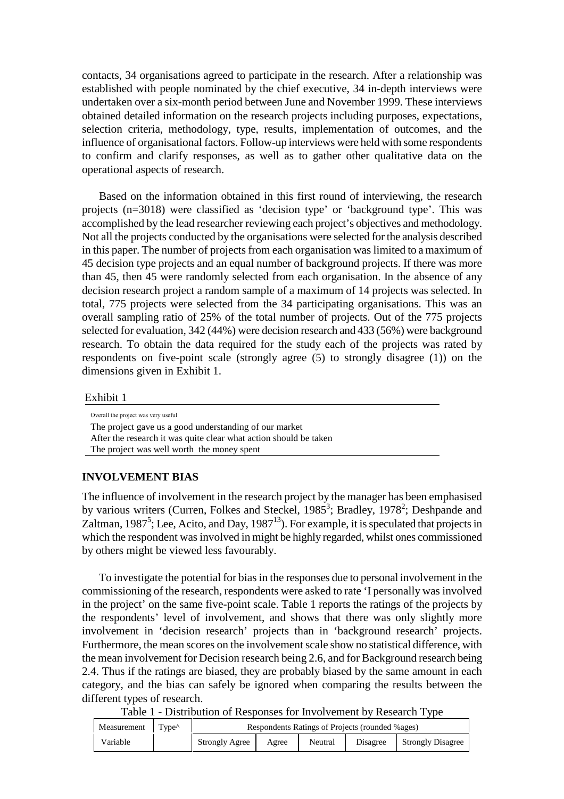contacts, 34 organisations agreed to participate in the research. After a relationship was established with people nominated by the chief executive, 34 in-depth interviews were undertaken over a six-month period between June and November 1999. These interviews obtained detailed information on the research projects including purposes, expectations, selection criteria, methodology, type, results, implementation of outcomes, and the influence of organisational factors. Follow-up interviews were held with some respondents to confirm and clarify responses, as well as to gather other qualitative data on the operational aspects of research.

Based on the information obtained in this first round of interviewing, the research projects (n=3018) were classified as 'decision type' or 'background type'. This was accomplished by the lead researcher reviewing each project's objectives and methodology. Not all the projects conducted by the organisations were selected for the analysis described in this paper. The number of projects from each organisation was limited to a maximum of 45 decision type projects and an equal number of background projects. If there was more than 45, then 45 were randomly selected from each organisation. In the absence of any decision research project a random sample of a maximum of 14 projects was selected. In total, 775 projects were selected from the 34 participating organisations. This was an overall sampling ratio of 25% of the total number of projects. Out of the 775 projects selected for evaluation, 342 (44%) were decision research and 433 (56%) were background research. To obtain the data required for the study each of the projects was rated by respondents on five-point scale (strongly agree (5) to strongly disagree (1)) on the dimensions given in Exhibit 1.

Exhibit 1

| Overall the project was very useful                               |
|-------------------------------------------------------------------|
| The project gave us a good understanding of our market            |
| After the research it was quite clear what action should be taken |
| The project was well worth the money spent                        |
|                                                                   |

#### **INVOLVEMENT BIAS**

The influence of involvement in the research project by the manager has been emphasised by various writers (Curren, Folkes and Steckel, 1985<sup>3</sup>; Bradley, 1978<sup>2</sup>; Deshpande and Zaltman, 1987<sup>5</sup>; Lee, Acito, and Day, 1987<sup>13</sup>). For example, it is speculated that projects in which the respondent was involved in might be highly regarded, whilst ones commissioned by others might be viewed less favourably.

To investigate the potential for biasin the responses due to personal involvement in the commissioning of the research, respondents were asked to rate 'I personally was involved in the project' on the same five-point scale. Table 1 reports the ratings of the projects by the respondents' level of involvement, and shows that there was only slightly more involvement in 'decision research' projects than in 'background research' projects. Furthermore, the mean scores on the involvement scale show no statistical difference, with the mean involvement for Decision research being 2.6, and for Background research being 2.4. Thus if the ratings are biased, they are probably biased by the same amount in each category, and the bias can safely be ignored when comparing the results between the different types of research.

Table 1 - Distribution of Responses for Involvement by Research Type

| Measurement | $T$ vne $\wedge$ | Respondents Ratings of Projects (rounded %ages) |       |         |          |                          |  |  |  |
|-------------|------------------|-------------------------------------------------|-------|---------|----------|--------------------------|--|--|--|
| Variable    |                  | <b>Strongly Agree</b>                           | Agree | Neutral | Disagree | <b>Strongly Disagree</b> |  |  |  |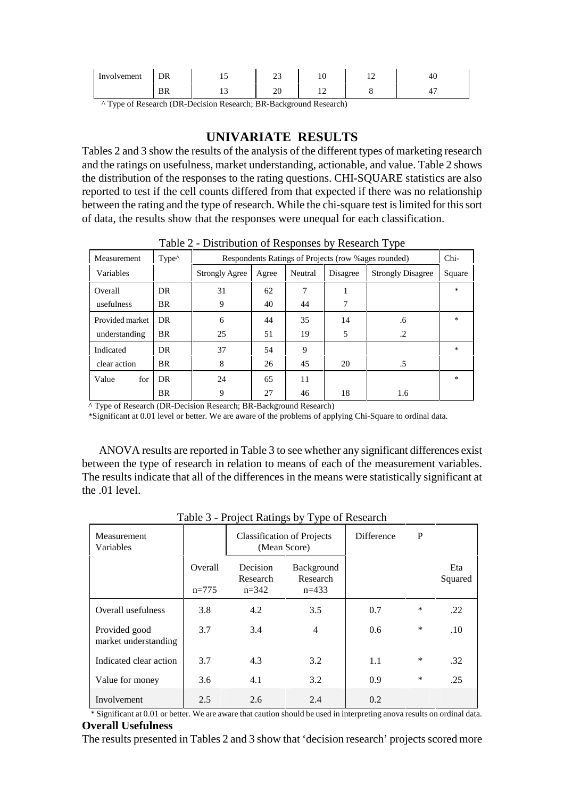| Involvement | DR | IJ  | ت              | 1 U | 4U |
|-------------|----|-----|----------------|-----|----|
|             | DЛ | ن د | n٢<br>$\omega$ | --  |    |

^ Type of Research (DR-Decision Research; BR-Background Research)

# **UNIVARIATE RESULTS**

Tables 2 and 3 show the results of the analysis of the different types of marketing research and the ratings on usefulness, market understanding, actionable, and value. Table 2 shows the distribution of the responses to the rating questions. CHI-SQUARE statistics are also reported to test if the cell counts differed from that expected if there was no relationship between the rating and the type of research. While the chi-square test is limited for this sort of data, the results show that the responses were unequal for each classification.

| Measurement     | $Type^{\wedge}$ | Respondents Ratings of Projects (row % ages rounded) |       |         |          |                          |        |  |
|-----------------|-----------------|------------------------------------------------------|-------|---------|----------|--------------------------|--------|--|
| Variables       |                 | <b>Strongly Agree</b>                                | Agree | Neutral | Disagree | <b>Strongly Disagree</b> | Square |  |
| Overall         | DR              | 31                                                   | 62    | 7       |          |                          | $*$    |  |
| usefulness      | <b>BR</b>       | 9                                                    | 40    | 44      | 7        |                          |        |  |
| Provided market | DR              | 6                                                    | 44    | 35      | 14       | .6                       | $\ast$ |  |
| understanding   | <b>BR</b>       | 25                                                   | 51    | 19      | 5        | $\cdot$ 2                |        |  |
| Indicated       | DR              | 37                                                   | 54    | 9       |          |                          | $\ast$ |  |
| clear action    | <b>BR</b>       | 8                                                    | 26    | 45      | 20       | .5                       |        |  |
| Value<br>for    | DR              | 24                                                   | 65    | 11      |          |                          | $*$    |  |
|                 | <b>BR</b>       | 9                                                    | 27    | 46      | 18       | 1.6                      |        |  |

Table 2 - Distribution of Responses by Research Type

^ Type of Research (DR-Decision Research; BR-Background Research)

\*Significant at 0.01 level or better. We are aware of the problems of applying Chi-Square to ordinal data.

ANOVA results are reported in Table 3 to see whether any significant differences exist between the type of research in relation to means of each of the measurement variables. The results indicate that all of the differences in the means were statistically significant at the .01 level.

| <b>Measurement</b><br>Variables       |                    | $\ldots$<br><b>Classification of Projects</b><br>(Mean Score) |                                   | $\mathbf{I}$<br><b>Difference</b> | P      |                |
|---------------------------------------|--------------------|---------------------------------------------------------------|-----------------------------------|-----------------------------------|--------|----------------|
|                                       | Overall<br>$n=775$ | Decision<br>Research<br>$n=342$                               | Background<br>Research<br>$n=433$ |                                   |        | Eta<br>Squared |
| Overall usefulness                    | 3.8                | 4.2                                                           | 3.5                               | 0.7                               | $\ast$ | .22            |
| Provided good<br>market understanding | 3.7                | 3.4                                                           | $\overline{4}$                    | 0.6                               | $\ast$ | .10            |
| Indicated clear action                | 3.7                | 4.3                                                           | 3.2                               | 1.1                               | $\ast$ | .32            |
| Value for money                       | 3.6                | 4.1                                                           | 3.2                               | 0.9                               | $\ast$ | .25            |
| Involvement                           | 2.5                | 2.6                                                           | 2.4                               | 0.2                               |        |                |

#### Table 3 - Project Ratings by Type of Research

\* Significant at 0.01 or better. We are aware that caution should be used in interpreting anova results on ordinal data. **Overall Usefulness**

The results presented in Tables 2 and 3 show that 'decision research' projects scored more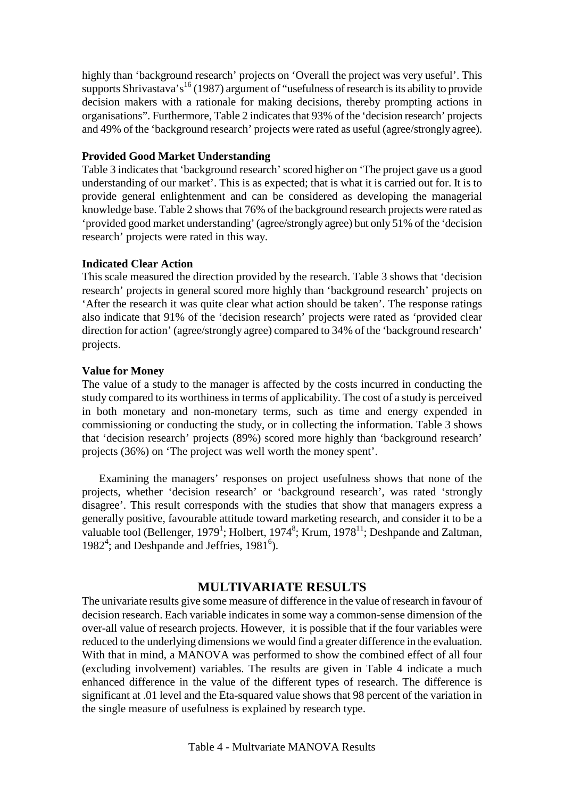highly than 'background research' projects on 'Overall the project was very useful'. This supports Shrivastava's<sup>16</sup> (1987) argument of "usefulness of research is its ability to provide decision makers with a rationale for making decisions, thereby prompting actions in organisations". Furthermore, Table 2 indicates that 93% of the 'decision research' projects and 49% of the 'background research' projects were rated as useful (agree/strongly agree).

## **Provided Good Market Understanding**

Table 3 indicates that 'background research'scored higher on 'The project gave us a good understanding of our market'. This is as expected; that is what it is carried out for. It is to provide general enlightenment and can be considered as developing the managerial knowledge base. Table 2 shows that 76% of the background research projects were rated as 'provided good market understanding' (agree/strongly agree) but only 51% of the 'decision research' projects were rated in this way.

#### **Indicated Clear Action**

This scale measured the direction provided by the research. Table 3 shows that 'decision research' projects in general scored more highly than 'background research' projects on 'After the research it was quite clear what action should be taken'. The response ratings also indicate that 91% of the 'decision research' projects were rated as 'provided clear direction for action' (agree/strongly agree) compared to 34% of the 'background research' projects.

#### **Value for Money**

The value of a study to the manager is affected by the costs incurred in conducting the study compared to its worthinessin terms of applicability. The cost of a study is perceived in both monetary and non-monetary terms, such as time and energy expended in commissioning or conducting the study, or in collecting the information. Table 3 shows that 'decision research' projects (89%) scored more highly than 'background research' projects (36%) on 'The project was well worth the money spent'.

Examining the managers' responses on project usefulness shows that none of the projects, whether 'decision research' or 'background research', was rated 'strongly disagree'. This result corresponds with the studies that show that managers express a generally positive, favourable attitude toward marketing research, and consider it to be a valuable tool (Bellenger, 1979<sup>1</sup>; Holbert, 1974<sup>8</sup>; Krum, 1978<sup>11</sup>; Deshpande and Zaltman, 1982<sup>4</sup>; and Deshpande and Jeffries, 1981<sup>6</sup>).

# **MULTIVARIATE RESULTS**

The univariate results give some measure of difference in the value of research in favour of decision research. Each variable indicates in some way a common-sense dimension of the over-all value of research projects. However, it is possible that if the four variables were reduced to the underlying dimensions we would find a greater difference in the evaluation. With that in mind, a MANOVA was performed to show the combined effect of all four (excluding involvement) variables. The results are given in Table 4 indicate a much enhanced difference in the value of the different types of research. The difference is significant at .01 level and the Eta-squared value shows that 98 percent of the variation in the single measure of usefulness is explained by research type.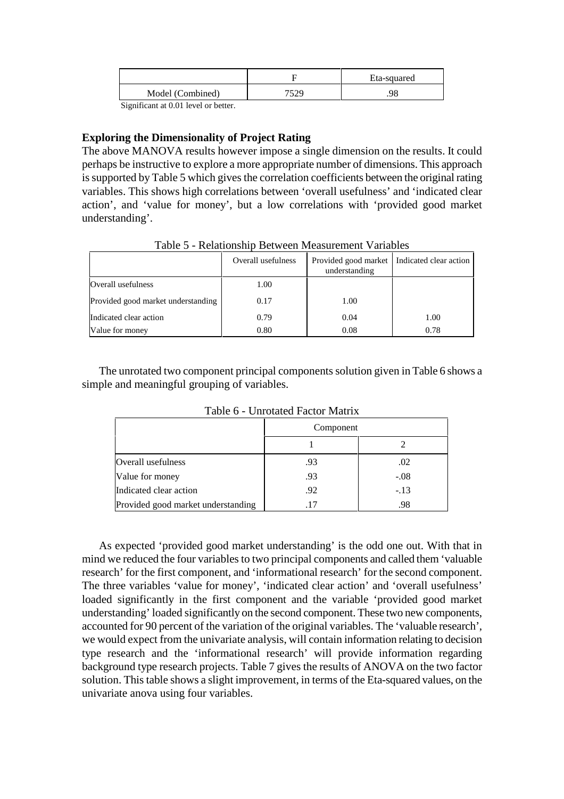|                               |      | Eta-squared |
|-------------------------------|------|-------------|
| Model (Combined)              | 7500 | .98         |
| $\cdot$ $\sim$<br>$\sim$<br>. |      |             |

Significant at 0.01 level or better.

# **Exploring the Dimensionality of Project Rating**

The above MANOVA results however impose a single dimension on the results. It could perhaps be instructive to explore a more appropriate number of dimensions. This approach is supported by Table 5 which gives the correlation coefficients between the original rating variables. This shows high correlations between 'overall usefulness' and 'indicated clear action', and 'value for money', but a low correlations with 'provided good market understanding'.

|                                    | Overall usefulness | Provided good market   Indicated clear action<br>understanding |      |  |  |  |  |
|------------------------------------|--------------------|----------------------------------------------------------------|------|--|--|--|--|
| Overall usefulness                 | 1.00               |                                                                |      |  |  |  |  |
| Provided good market understanding | 0.17               | 1.00                                                           |      |  |  |  |  |
| Indicated clear action             | 0.79               | 0.04                                                           | 1.00 |  |  |  |  |
| Value for money                    | 0.80               | 0.08                                                           | 0.78 |  |  |  |  |

Table 5 - Relationship Between Measurement Variables

The unrotated two component principal components solution given in Table 6 shows a simple and meaningful grouping of variables.

|                                    | Component |        |  |  |  |
|------------------------------------|-----------|--------|--|--|--|
|                                    |           |        |  |  |  |
| Overall usefulness                 | .93       | .02    |  |  |  |
| Value for money                    | .93       | $-.08$ |  |  |  |
| Indicated clear action             | .92       | $-.13$ |  |  |  |
| Provided good market understanding | .17       | .98    |  |  |  |

Table 6 - Unrotated Factor Matrix

As expected 'provided good market understanding' is the odd one out. With that in mind we reduced the four variables to two principal components and called them 'valuable research' for the first component, and 'informational research' for the second component. The three variables 'value for money', 'indicated clear action' and 'overall usefulness' loaded significantly in the first component and the variable 'provided good market understanding' loaded significantly on the second component. These two new components, accounted for 90 percent of the variation of the original variables. The 'valuable research', we would expect from the univariate analysis, will contain information relating to decision type research and the 'informational research' will provide information regarding background type research projects. Table 7 gives the results of ANOVA on the two factor solution. This table shows a slight improvement, in terms of the Eta-squared values, on the univariate anova using four variables.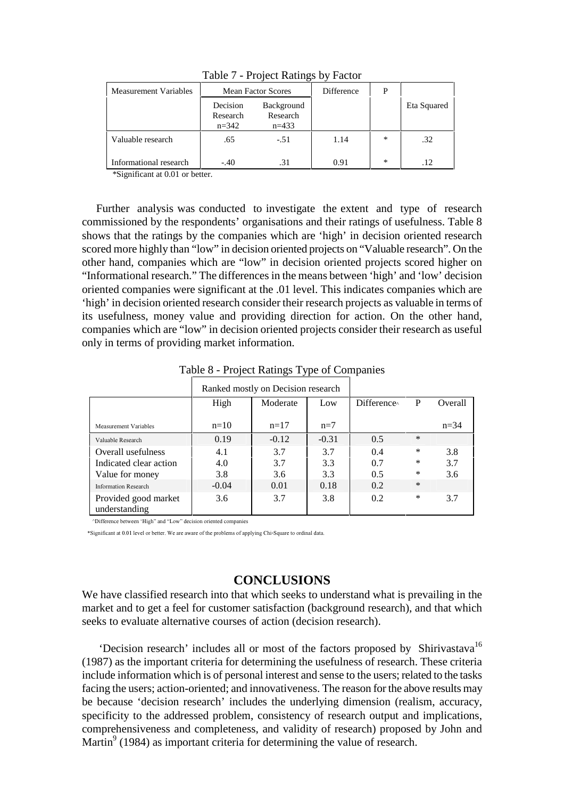| Measurement Variables  | <b>Mean Factor Scores</b>                                              |        | Difference | P      |             |
|------------------------|------------------------------------------------------------------------|--------|------------|--------|-------------|
|                        | Decision<br>Background<br>Research<br>Research<br>$n = 342$<br>$n=433$ |        |            |        | Eta Squared |
| Valuable research      | .65                                                                    | $-.51$ | 1.14       | $\ast$ | .32         |
| Informational research | $-.40$                                                                 | .31    | 0.91       | *      |             |

Table 7 - Project Ratings by Factor

\*Significant at 0.01 or better.

Further analysis was conducted to investigate the extent and type of research commissioned by the respondents' organisations and their ratings of usefulness. Table 8 shows that the ratings by the companies which are 'high' in decision oriented research scored more highly than "low" in decision oriented projects on "Valuable research". On the other hand, companies which are "low" in decision oriented projects scored higher on "Informational research." The differencesin the means between 'high' and 'low' decision oriented companies were significant at the .01 level. This indicates companies which are 'high' in decision oriented research consider their research projects as valuable in terms of its usefulness, money value and providing direction for action. On the other hand, companies which are "low" in decision oriented projects consider their research as useful only in terms of providing market information.

|                                       |         | Ranked mostly on Decision research |         |                         |        |          |
|---------------------------------------|---------|------------------------------------|---------|-------------------------|--------|----------|
|                                       | High    | Moderate                           | Low     | Difference <sup>^</sup> | P      | Overall  |
| Measurement Variables                 | $n=10$  | $n=17$                             | $n=7$   |                         |        | $n = 34$ |
|                                       |         |                                    |         |                         |        |          |
| Valuable Research                     | 0.19    | $-0.12$                            | $-0.31$ | 0.5                     | $\ast$ |          |
| Overall usefulness                    | 4.1     | 3.7                                | 3.7     | 0.4                     | ∗      | 3.8      |
| Indicated clear action                | 4.0     | 3.7                                | 3.3     | 0.7                     | ∗      | 3.7      |
| Value for money                       | 3.8     | 3.6                                | 3.3     | 0.5                     | ∗      | 3.6      |
| <b>Information Research</b>           | $-0.04$ | 0.01                               | 0.18    | 0.2                     | $\ast$ |          |
| Provided good market<br>understanding | 3.6     | 3.7                                | 3.8     | 0.2                     | ∗      | 3.7      |

Table 8 - Project Ratings Type of Companies

 $\Delta$ Difference between 'High" and "Low" decision oriented companies

\*Significant at 0.01 level or better. We are aware of the problems of applying Chi-Square to ordinal data.

# **CONCLUSIONS**

We have classified research into that which seeks to understand what is prevailing in the market and to get a feel for customer satisfaction (background research), and that which seeks to evaluate alternative courses of action (decision research).

'Decision research' includes all or most of the factors proposed by Shirivastava 16 (1987) as the important criteria for determining the usefulness of research. These criteria include information which is of personal interest and sense to the users; related to the tasks facing the users; action-oriented; and innovativeness. The reason for the above results may be because 'decision research' includes the underlying dimension (realism, accuracy, specificity to the addressed problem, consistency of research output and implications, comprehensiveness and completeness, and validity of research) proposed by John and Martin<sup>9</sup> (1984) as important criteria for determining the value of research.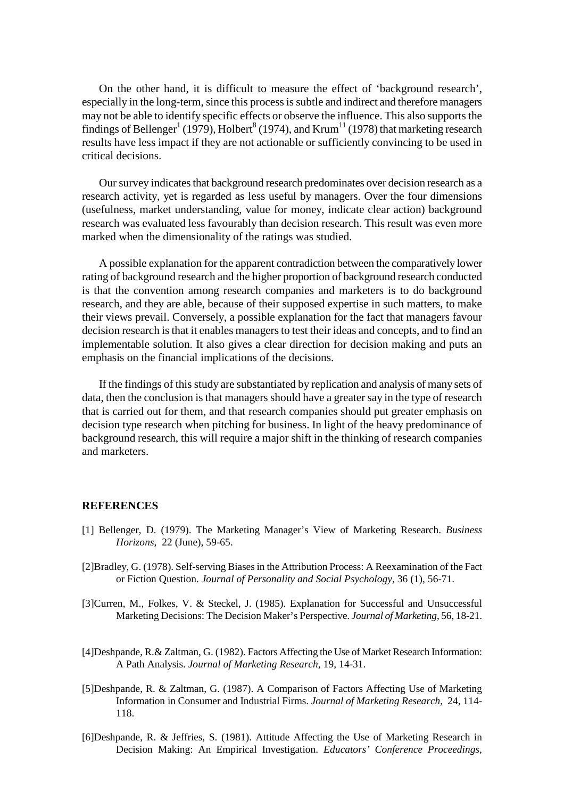On the other hand, it is difficult to measure the effect of 'background research', especially in the long-term, since this process is subtle and indirect and therefore managers may not be able to identify specific effects or observe the influence. This also supports the findings of Bellenger<sup>1</sup> (1979), Holbert<sup>8</sup> (1974), and Krum<sup>11</sup> (1978) that marketing research results have less impact if they are not actionable or sufficiently convincing to be used in critical decisions.

Our survey indicates that background research predominates over decision research as a research activity, yet is regarded as less useful by managers. Over the four dimensions (usefulness, market understanding, value for money, indicate clear action) background research was evaluated less favourably than decision research. This result was even more marked when the dimensionality of the ratings was studied.

A possible explanation for the apparent contradiction between the comparatively lower rating of background research and the higher proportion of background research conducted is that the convention among research companies and marketers is to do background research, and they are able, because of their supposed expertise in such matters, to make their views prevail. Conversely, a possible explanation for the fact that managers favour decision research is that it enables managers to test their ideas and concepts, and to find an implementable solution. It also gives a clear direction for decision making and puts an emphasis on the financial implications of the decisions.

If the findings of this study are substantiated by replication and analysis of many sets of data, then the conclusion is that managers should have a greater say in the type of research that is carried out for them, and that research companies should put greater emphasis on decision type research when pitching for business. In light of the heavy predominance of background research, this will require a major shift in the thinking of research companies and marketers.

#### **REFERENCES**

- [1] Bellenger, D. (1979). The Marketing Manager's View of Marketing Research. *Business Horizons*, 22 (June), 59-65.
- [2]Bradley, G. (1978). Self-serving Biasesin the Attribution Process: A Reexamination of the Fact or Fiction Question. *Journal of Personality and Social Psychology*, 36 (1), 56-71.
- [3]Curren, M., Folkes, V. & Steckel, J. (1985). Explanation for Successful and Unsuccessful Marketing Decisions: The Decision Maker's Perspective. *Journal of Marketing*, 56, 18-21.
- [4]Deshpande, R.& Zaltman, G. (1982). Factors Affecting the Use of Market Research Information: A Path Analysis. *Journal of Marketing Research*, 19, 14-31.
- [5]Deshpande, R. & Zaltman, G. (1987). A Comparison of Factors Affecting Use of Marketing Information in Consumer and Industrial Firms. *Journal of Marketing Research*, 24, 114- 118.
- [6]Deshpande, R. & Jeffries, S. (1981). Attitude Affecting the Use of Marketing Research in Decision Making: An Empirical Investigation. *Educators' Conference Proceedings*,